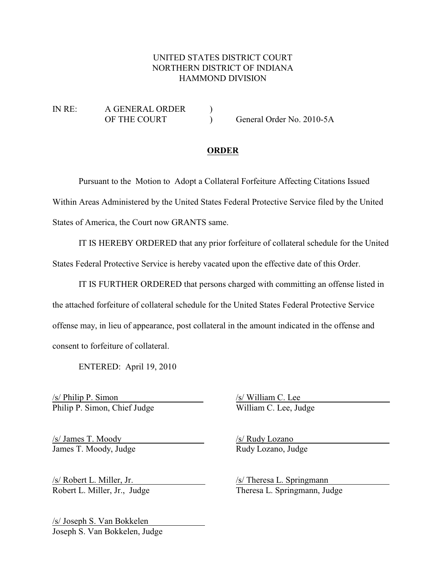## UNITED STATES DISTRICT COURT NORTHERN DISTRICT OF INDIANA HAMMOND DIVISION

IN RE: A GENERAL ORDER ) OF THE COURT ) General Order No. 2010-5A

## **ORDER**

Pursuant to the Motion to Adopt a Collateral Forfeiture Affecting Citations Issued Within Areas Administered by the United States Federal Protective Service filed by the United States of America, the Court now GRANTS same.

IT IS HEREBY ORDERED that any prior forfeiture of collateral schedule for the United States Federal Protective Service is hereby vacated upon the effective date of this Order.

IT IS FURTHER ORDERED that persons charged with committing an offense listed in the attached forfeiture of collateral schedule for the United States Federal Protective Service offense may, in lieu of appearance, post collateral in the amount indicated in the offense and consent to forfeiture of collateral.

ENTERED: April 19, 2010

/s/ Philip P. Simon /s/ William C. Lee Philip P. Simon, Chief Judge William C. Lee, Judge

/s/ James T. Moody /s/ Rudy Lozano James T. Moody, Judge Rudy Lozano, Judge

/s/ Robert L. Miller, Jr. /s/ Theresa L. Springmann

Robert L. Miller, Jr., Judge Theresa L. Springmann, Judge

/s/ Joseph S. Van Bokkelen Joseph S. Van Bokkelen, Judge